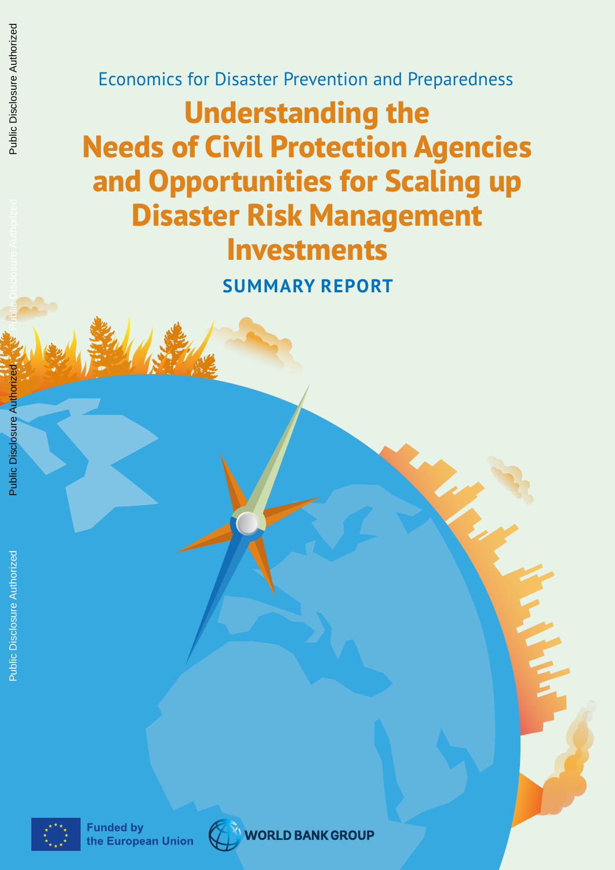Economics for Disaster Prevention and Preparedness

## **Understanding the Needs of Civil Protection Agencies and Opportunities for Scaling up Disaster Risk Management Investments**

**SUMMARY REPORT**



**WORLD BANK GROUP**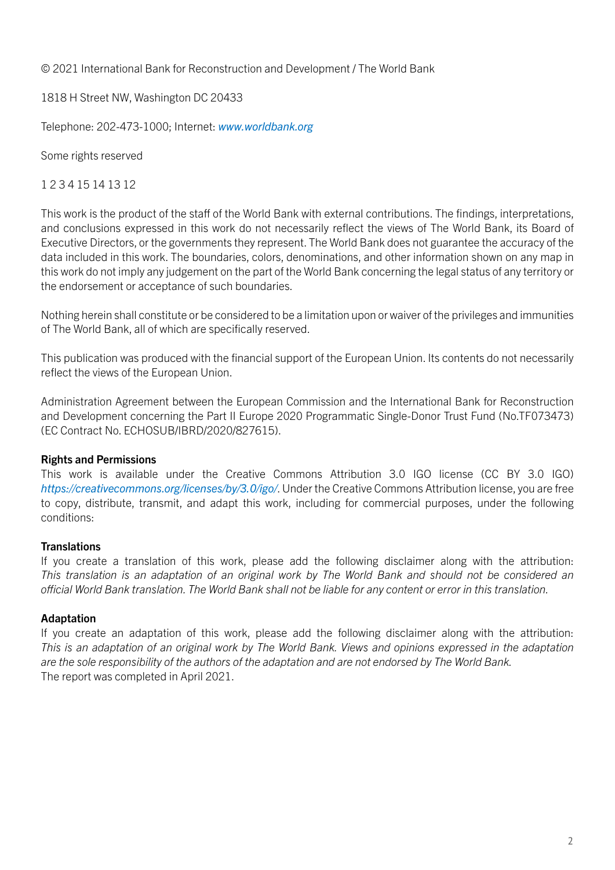© 2021 International Bank for Reconstruction and Development / The World Bank

1818 H Street NW, Washington DC 20433

Telephone: 202-473-1000; Internet: *[www.worldbank.org](http://www.worldbank.org)*

Some rights reserved

#### 1 2 3 4 15 14 13 12

This work is the product of the staff of the World Bank with external contributions. The findings, interpretations, and conclusions expressed in this work do not necessarily reflect the views of The World Bank, its Board of Executive Directors, or the governments they represent. The World Bank does not guarantee the accuracy of the data included in this work. The boundaries, colors, denominations, and other information shown on any map in this work do not imply any judgement on the part of the World Bank concerning the legal status of any territory or the endorsement or acceptance of such boundaries.

Nothing herein shall constitute or be considered to be a limitation upon or waiver of the privileges and immunities of The World Bank, all of which are specifically reserved.

This publication was produced with the financial support of the European Union. Its contents do not necessarily reflect the views of the European Union.

Administration Agreement between the European Commission and the International Bank for Reconstruction and Development concerning the Part II Europe 2020 Programmatic Single-Donor Trust Fund (No.TF073473) (EC Contract No. ECHOSUB/IBRD/2020/827615).

#### Rights and Permissions

This work is available under the Creative Commons Attribution 3.0 IGO license (CC BY 3.0 IGO) *<https://creativecommons.org/licenses/by/3.0/igo/>*. Under the Creative Commons Attribution license, you are free to copy, distribute, transmit, and adapt this work, including for commercial purposes, under the following conditions:

#### **Translations**

If you create a translation of this work, please add the following disclaimer along with the attribution: *This translation is an adaptation of an original work by The World Bank and should not be considered an official World Bank translation. The World Bank shall not be liable for any content or error in this translation.*

#### Adaptation

If you create an adaptation of this work, please add the following disclaimer along with the attribution: *This is an adaptation of an original work by The World Bank. Views and opinions expressed in the adaptation are the sole responsibility of the authors of the adaptation and are not endorsed by The World Bank.* The report was completed in April 2021.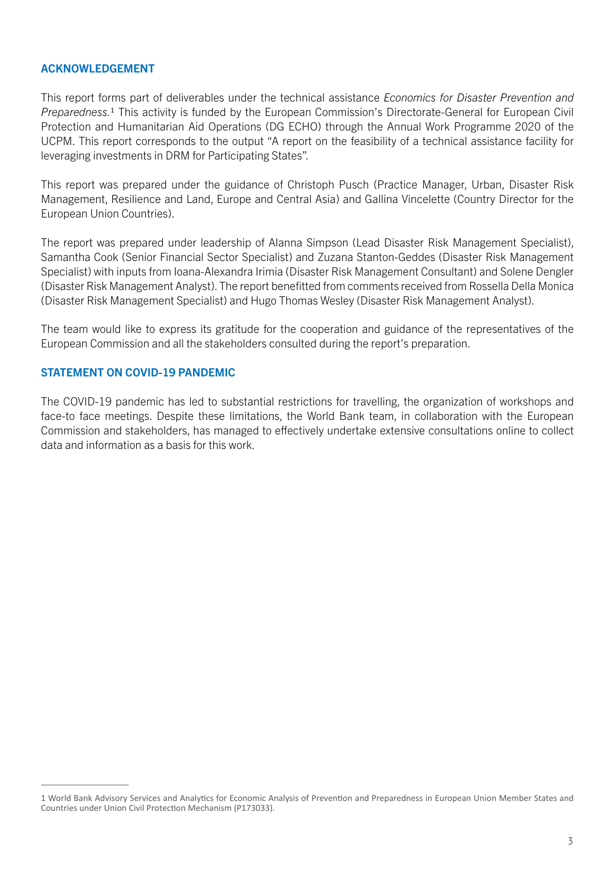#### ACKNOWLEDGEMENT

This report forms part of deliverables under the technical assistance *Economics for Disaster Prevention and Preparedness.*1 This activity is funded by the European Commission's Directorate-General for European Civil Protection and Humanitarian Aid Operations (DG ECHO) through the Annual Work Programme 2020 of the UCPM. This report corresponds to the output "A report on the feasibility of a technical assistance facility for leveraging investments in DRM for Participating States".

This report was prepared under the guidance of Christoph Pusch (Practice Manager, Urban, Disaster Risk Management, Resilience and Land, Europe and Central Asia) and Gallina Vincelette (Country Director for the European Union Countries).

The report was prepared under leadership of Alanna Simpson (Lead Disaster Risk Management Specialist), Samantha Cook (Senior Financial Sector Specialist) and Zuzana Stanton-Geddes (Disaster Risk Management Specialist) with inputs from Ioana-Alexandra Irimia (Disaster Risk Management Consultant) and Solene Dengler (Disaster Risk Management Analyst). The report benefitted from comments received from Rossella Della Monica (Disaster Risk Management Specialist) and Hugo Thomas Wesley (Disaster Risk Management Analyst).

The team would like to express its gratitude for the cooperation and guidance of the representatives of the European Commission and all the stakeholders consulted during the report's preparation.

#### STATEMENT ON COVID-19 PANDEMIC

The COVID-19 pandemic has led to substantial restrictions for travelling, the organization of workshops and face-to face meetings. Despite these limitations, the World Bank team, in collaboration with the European Commission and stakeholders, has managed to effectively undertake extensive consultations online to collect data and information as a basis for this work.

<sup>1</sup> World Bank Advisory Services and Analytics for Economic Analysis of Prevention and Preparedness in European Union Member States and Countries under Union Civil Protection Mechanism (P173033).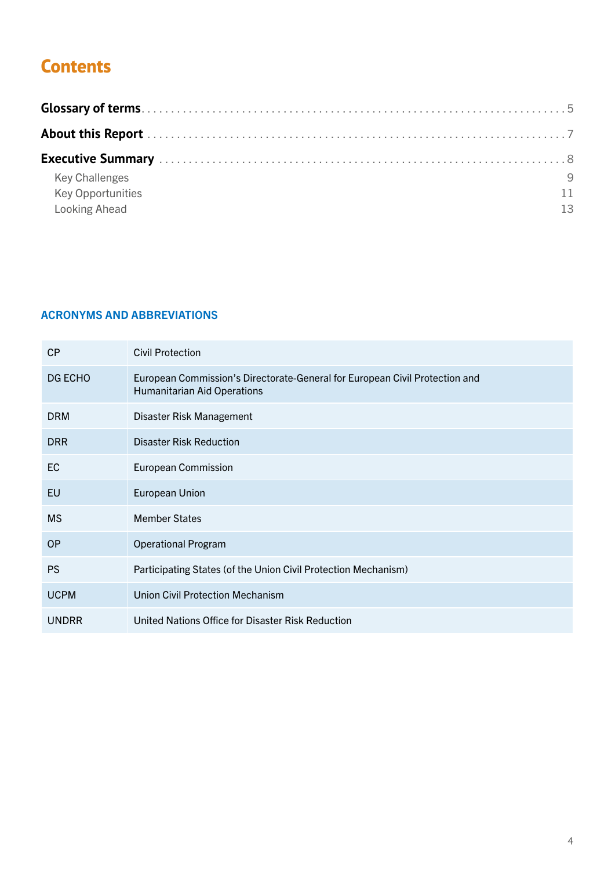### **Contents**

| <b>Key Challenges</b>    | -9 |
|--------------------------|----|
| <b>Key Opportunities</b> |    |
| <b>Looking Ahead</b>     | 13 |

#### **ACRONYMS AND ABBREVIATIONS**

| CP           | <b>Civil Protection</b>                                                                                           |
|--------------|-------------------------------------------------------------------------------------------------------------------|
| DG ECHO      | European Commission's Directorate-General for European Civil Protection and<br><b>Humanitarian Aid Operations</b> |
| <b>DRM</b>   | Disaster Risk Management                                                                                          |
| <b>DRR</b>   | <b>Disaster Risk Reduction</b>                                                                                    |
| EC           | <b>European Commission</b>                                                                                        |
| EU           | <b>European Union</b>                                                                                             |
| <b>MS</b>    | <b>Member States</b>                                                                                              |
| <b>OP</b>    | <b>Operational Program</b>                                                                                        |
| <b>PS</b>    | Participating States (of the Union Civil Protection Mechanism)                                                    |
| <b>UCPM</b>  | <b>Union Civil Protection Mechanism</b>                                                                           |
| <b>UNDRR</b> | United Nations Office for Disaster Risk Reduction                                                                 |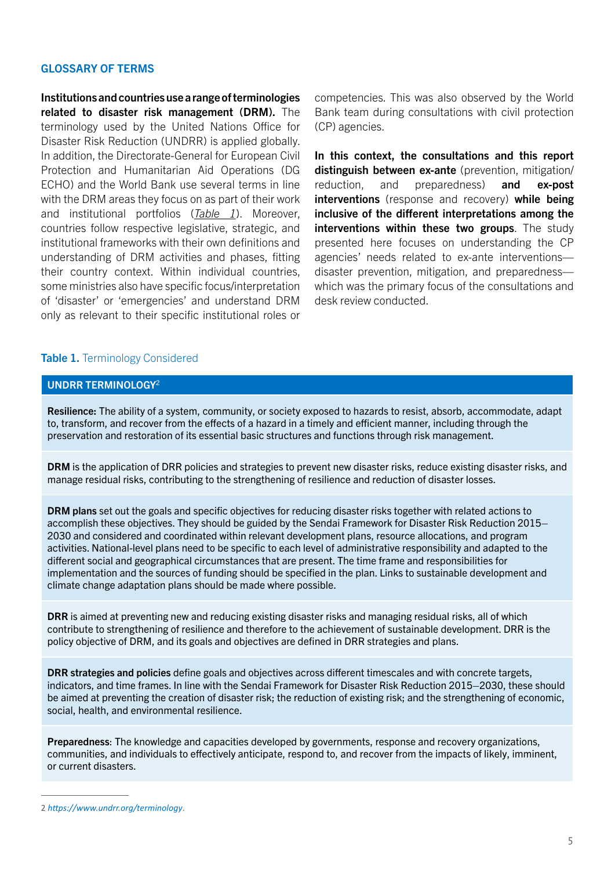#### <span id="page-4-0"></span>GLOSSARY OF TERMS

Institutions and countries use a range of terminologies related to disaster risk management (DRM). The terminology used by the United Nations Office for Disaster Risk Reduction (UNDRR) is applied globally. In addition, the Directorate-General for European Civil Protection and Humanitarian Aid Operations (DG ECHO) and the World Bank use several terms in line with the DRM areas they focus on as part of their work and institutional portfolios (*[Table 1](#page-4-1)*). Moreover, countries follow respective legislative, strategic, and institutional frameworks with their own definitions and understanding of DRM activities and phases, fitting their country context. Within individual countries, some ministries also have specific focus/interpretation of 'disaster' or 'emergencies' and understand DRM only as relevant to their specific institutional roles or

competencies. This was also observed by the World Bank team during consultations with civil protection (CP) agencies.

In this context, the consultations and this report distinguish between ex-ante (prevention, mitigation/ reduction, and preparedness) and ex-post interventions (response and recovery) while being inclusive of the different interpretations among the interventions within these two groups. The study presented here focuses on understanding the CP agencies' needs related to ex-ante interventions disaster prevention, mitigation, and preparedness which was the primary focus of the consultations and desk review conducted.

#### <span id="page-4-1"></span>Table 1. Terminology Considered

#### UNDRR TERMINOLOGY<sup>2</sup>

Resilience: The ability of a system, community, or society exposed to hazards to resist, absorb, accommodate, adapt to, transform, and recover from the effects of a hazard in a timely and efficient manner, including through the preservation and restoration of its essential basic structures and functions through risk management.

DRM is the application of DRR policies and strategies to prevent new disaster risks, reduce existing disaster risks, and manage residual risks, contributing to the strengthening of resilience and reduction of disaster losses.

DRM plans set out the goals and specific objectives for reducing disaster risks together with related actions to accomplish these objectives. They should be guided by the Sendai Framework for Disaster Risk Reduction 2015– 2030 and considered and coordinated within relevant development plans, resource allocations, and program activities. National-level plans need to be specific to each level of administrative responsibility and adapted to the different social and geographical circumstances that are present. The time frame and responsibilities for implementation and the sources of funding should be specified in the plan. Links to sustainable development and climate change adaptation plans should be made where possible.

DRR is aimed at preventing new and reducing existing disaster risks and managing residual risks, all of which contribute to strengthening of resilience and therefore to the achievement of sustainable development. DRR is the policy objective of DRM, and its goals and objectives are defined in DRR strategies and plans.

DRR strategies and policies define goals and objectives across different timescales and with concrete targets, indicators, and time frames. In line with the Sendai Framework for Disaster Risk Reduction 2015–2030, these should be aimed at preventing the creation of disaster risk; the reduction of existing risk; and the strengthening of economic, social, health, and environmental resilience.

Preparedness: The knowledge and capacities developed by governments, response and recovery organizations, communities, and individuals to effectively anticipate, respond to, and recover from the impacts of likely, imminent, or current disasters.

<sup>2</sup> *[https://www.undrr.org/terminology](https://www.who.int/health-topics/floods)*.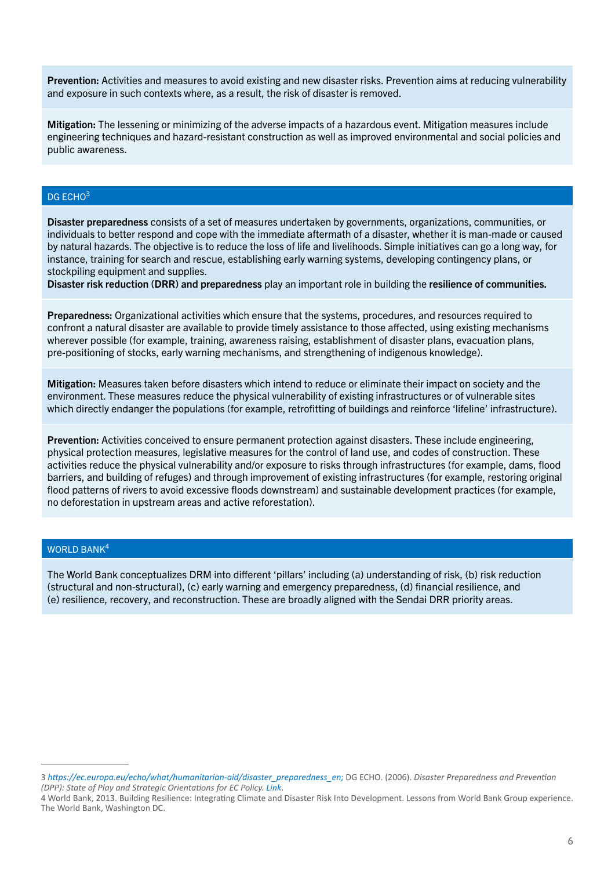Prevention: Activities and measures to avoid existing and new disaster risks. Prevention aims at reducing vulnerability and exposure in such contexts where, as a result, the risk of disaster is removed.

Mitigation: The lessening or minimizing of the adverse impacts of a hazardous event. Mitigation measures include engineering techniques and hazard-resistant construction as well as improved environmental and social policies and public awareness.

#### DG ECHO<sup>3</sup>

Disaster preparedness consists of a set of measures undertaken by governments, organizations, communities, or individuals to better respond and cope with the immediate aftermath of a disaster, whether it is man-made or caused by natural hazards. The objective is to reduce the loss of life and livelihoods. Simple initiatives can go a long way, for instance, training for search and rescue, establishing early warning systems, developing contingency plans, or stockpiling equipment and supplies.

Disaster risk reduction (DRR) and preparedness play an important role in building the [resilience](https://www.qt.com.au/news/roma-and-mitchell-hardest-hit-by-rise-in-personal-/1591820/) of communities.

Preparedness: Organizational activities which ensure that the systems, procedures, and resources required to confront a natural disaster are available to provide timely assistance to those affected, using existing mechanisms wherever possible (for example, training, awareness raising, establishment of disaster plans, evacuation plans, pre-positioning of stocks, early warning mechanisms, and strengthening of indigenous knowledge).

Mitigation: Measures taken before disasters which intend to reduce or eliminate their impact on society and the environment. These measures reduce the physical vulnerability of existing infrastructures or of vulnerable sites which directly endanger the populations (for example, retrofitting of buildings and reinforce 'lifeline' infrastructure).

Prevention: Activities conceived to ensure permanent protection against disasters. These include engineering, physical protection measures, legislative measures for the control of land use, and codes of construction. These activities reduce the physical vulnerability and/or exposure to risks through infrastructures (for example, dams, flood barriers, and building of refuges) and through improvement of existing infrastructures (for example, restoring original flood patterns of rivers to avoid excessive floods downstream) and sustainable development practices (for example, no deforestation in upstream areas and active reforestation).

#### WORLD BANK<sup>4</sup>

The World Bank conceptualizes DRM into different 'pillars' including (a) understanding of risk, (b) risk reduction (structural and non-structural), (c) early warning and emergency preparedness, (d) financial resilience, and (e) resilience, recovery, and reconstruction. These are broadly aligned with the Sendai DRR priority areas.

<sup>3</sup> *[https://ec.europa.eu/echo/what/humanitarian-aid/disaster\\_preparedness\\_en](https://www.jbarisk.com/news-blogs/surface-water-flooding-a-growing-risk-in-europe/);* DG ECHO. (2006). *Disaster Preparedness and Prevention (DPP): State of Play and Strategic Orientations for EC Policy. [Link](https://eur-lex.europa.eu/eli/dir/2007/60/oj)*.

<sup>4</sup> World Bank, 2013. Building Resilience: Integrating Climate and Disaster Risk Into Development. Lessons from World Bank Group experience. The World Bank, Washington DC.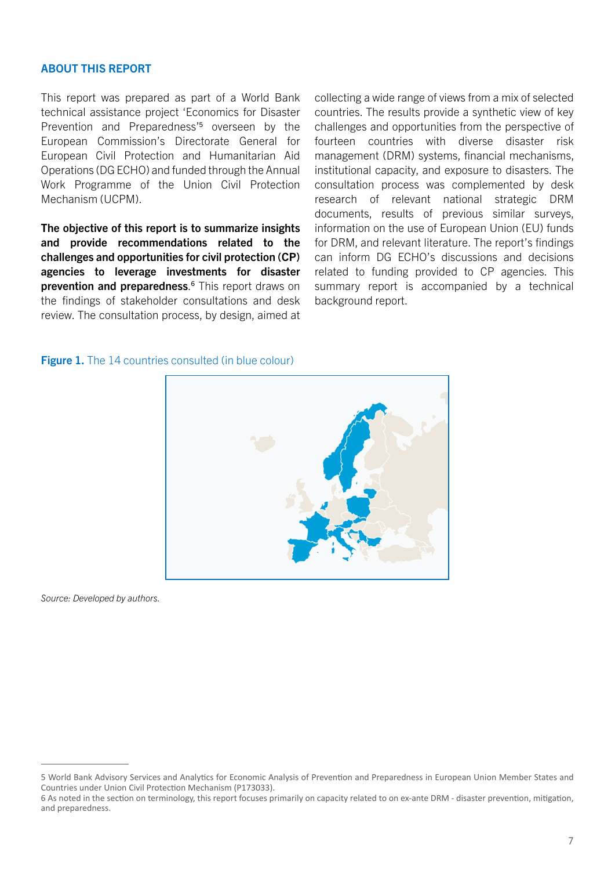#### <span id="page-6-0"></span>ABOUT THIS REPORT

This report was prepared as part of a World Bank technical assistance project 'Economics for Disaster Prevention and Preparedness'<sup>5</sup> overseen by the European Commission's Directorate General for European Civil Protection and Humanitarian Aid Operations (DG ECHO) and funded through the Annual Work Programme of the Union Civil Protection Mechanism (UCPM).

The objective of this report is to summarize insights and provide recommendations related to the challenges and opportunities for civil protection (CP) agencies to leverage investments for disaster prevention and preparedness.<sup>6</sup> This report draws on the findings of stakeholder consultations and desk review. The consultation process, by design, aimed at

collecting a wide range of views from a mix of selected countries. The results provide a synthetic view of key challenges and opportunities from the perspective of fourteen countries with diverse disaster risk management (DRM) systems, financial mechanisms, institutional capacity, and exposure to disasters. The consultation process was complemented by desk research of relevant national strategic DRM documents, results of previous similar surveys, information on the use of European Union (EU) funds for DRM, and relevant literature. The report's findings can inform DG ECHO's discussions and decisions related to funding provided to CP agencies. This summary report is accompanied by a technical background report.

#### Figure 1. The 14 countries consulted (in blue colour)



*Source: Developed by authors.*

<sup>5</sup> World Bank Advisory Services and Analytics for Economic Analysis of Prevention and Preparedness in European Union Member States and Countries under Union Civil Protection Mechanism (P173033).

<sup>6</sup> As noted in the section on terminology, this report focuses primarily on capacity related to on ex-ante DRM - disaster prevention, mitigation, and preparedness.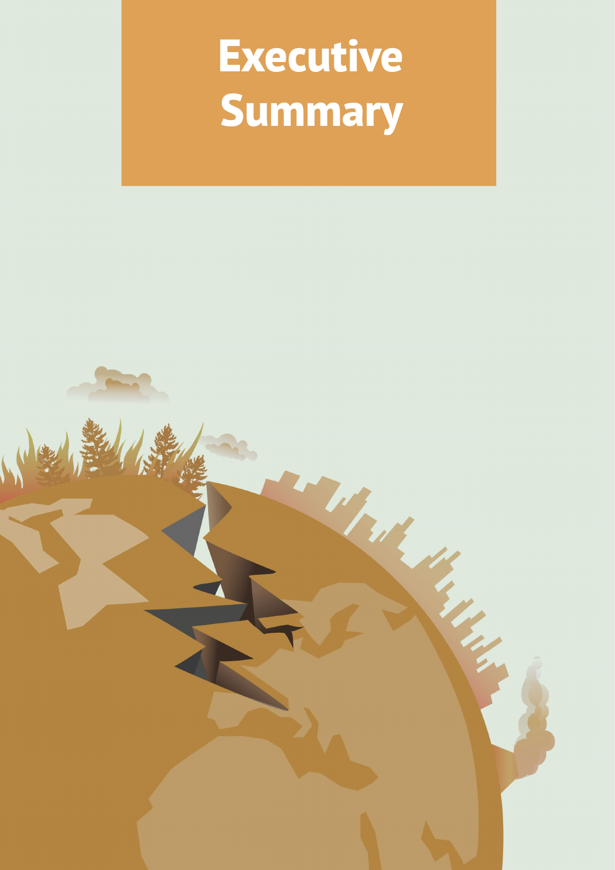# <span id="page-7-0"></span>**Executive Summary**

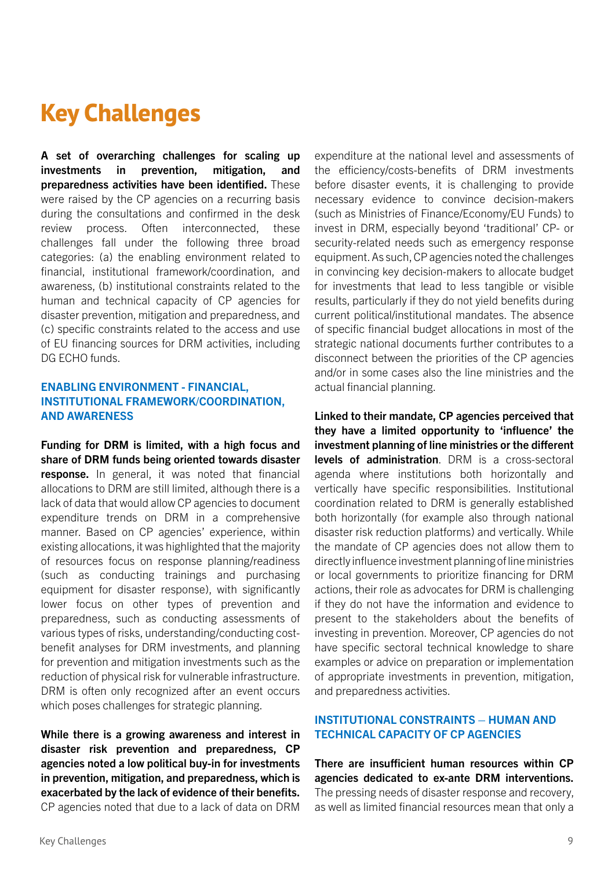## <span id="page-8-0"></span>**Key Challenges**

A set of overarching challenges for scaling up investments in prevention, mitigation, and preparedness activities have been identified. These were raised by the CP agencies on a recurring basis during the consultations and confirmed in the desk review process. Often interconnected, these challenges fall under the following three broad categories: (a) the enabling environment related to financial, institutional framework/coordination, and awareness, (b) institutional constraints related to the human and technical capacity of CP agencies for disaster prevention, mitigation and preparedness, and (c) specific constraints related to the access and use of EU financing sources for DRM activities, including DG ECHO funds.

#### ENABLING ENVIRONMENT - FINANCIAL, INSTITUTIONAL FRAMEWORK/COORDINATION, AND AWARENESS

Funding for DRM is limited, with a high focus and share of DRM funds being oriented towards disaster response. In general, it was noted that financial allocations to DRM are still limited, although there is a lack of data that would allow CP agencies to document expenditure trends on DRM in a comprehensive manner. Based on CP agencies' experience, within existing allocations, it was highlighted that the majority of resources focus on response planning/readiness (such as conducting trainings and purchasing equipment for disaster response), with significantly lower focus on other types of prevention and preparedness, such as conducting assessments of various types of risks, understanding/conducting costbenefit analyses for DRM investments, and planning for prevention and mitigation investments such as the reduction of physical risk for vulnerable infrastructure. DRM is often only recognized after an event occurs which poses challenges for strategic planning.

While there is a growing awareness and interest in disaster risk prevention and preparedness, CP agencies noted a low political buy-in for investments in prevention, mitigation, and preparedness, which is exacerbated by the lack of evidence of their benefits. CP agencies noted that due to a lack of data on DRM

expenditure at the national level and assessments of the efficiency/costs-benefits of DRM investments before disaster events, it is challenging to provide necessary evidence to convince decision-makers (such as Ministries of Finance/Economy/EU Funds) to invest in DRM, especially beyond 'traditional' CP- or security-related needs such as emergency response equipment. As such, CP agencies noted the challenges in convincing key decision-makers to allocate budget for investments that lead to less tangible or visible results, particularly if they do not yield benefits during current political/institutional mandates. The absence of specific financial budget allocations in most of the strategic national documents further contributes to a disconnect between the priorities of the CP agencies and/or in some cases also the line ministries and the actual financial planning.

Linked to their mandate, CP agencies perceived that they have a limited opportunity to 'influence' the investment planning of line ministries or the different levels of administration. DRM is a cross-sectoral agenda where institutions both horizontally and vertically have specific responsibilities. Institutional coordination related to DRM is generally established both horizontally (for example also through national disaster risk reduction platforms) and vertically. While the mandate of CP agencies does not allow them to directly influence investment planning of line ministries or local governments to prioritize financing for DRM actions, their role as advocates for DRM is challenging if they do not have the information and evidence to present to the stakeholders about the benefits of investing in prevention. Moreover, CP agencies do not have specific sectoral technical knowledge to share examples or advice on preparation or implementation of appropriate investments in prevention, mitigation, and preparedness activities.

#### INSTITUTIONAL CONSTRAINTS – HUMAN AND TECHNICAL CAPACITY OF CP AGENCIES

There are insufficient human resources within CP agencies dedicated to ex-ante DRM interventions. The pressing needs of disaster response and recovery, as well as limited financial resources mean that only a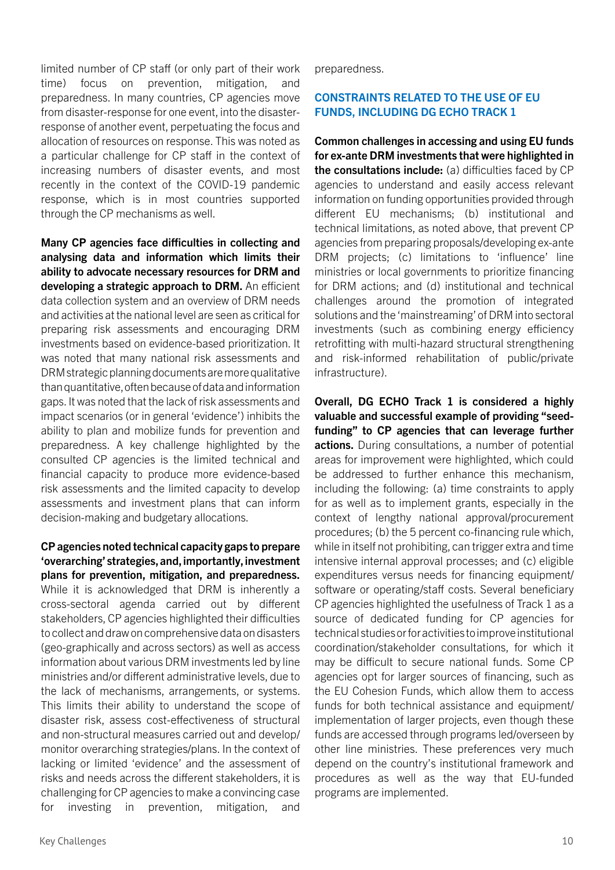limited number of CP staff (or only part of their work time) focus on prevention, mitigation, preparedness. In many countries, CP agencies move from disaster-response for one event, into the disasterresponse of another event, perpetuating the focus and allocation of resources on response. This was noted as a particular challenge for CP staff in the context of increasing numbers of disaster events, and most recently in the context of the COVID-19 pandemic response, which is in most countries supported through the CP mechanisms as well.

Many CP agencies face difficulties in collecting and analysing data and information which limits their ability to advocate necessary resources for DRM and developing a strategic approach to DRM. An efficient data collection system and an overview of DRM needs and activities at the national level are seen as critical for preparing risk assessments and encouraging DRM investments based on evidence-based prioritization. It was noted that many national risk assessments and DRM strategic planning documents are more qualitative than quantitative, often because of data and information gaps. It was noted that the lack of risk assessments and impact scenarios (or in general 'evidence') inhibits the ability to plan and mobilize funds for prevention and preparedness. A key challenge highlighted by the consulted CP agencies is the limited technical and financial capacity to produce more evidence-based risk assessments and the limited capacity to develop assessments and investment plans that can inform decision-making and budgetary allocations.

CP agencies noted technical capacity gaps to prepare 'overarching' strategies, and, importantly, investment plans for prevention, mitigation, and preparedness. While it is acknowledged that DRM is inherently a cross-sectoral agenda carried out by different stakeholders, CP agencies highlighted their difficulties to collect and draw on comprehensive data on disasters (geo-graphically and across sectors) as well as access information about various DRM investments led by line ministries and/or different administrative levels, due to the lack of mechanisms, arrangements, or systems. This limits their ability to understand the scope of disaster risk, assess cost-effectiveness of structural and non-structural measures carried out and develop/ monitor overarching strategies/plans. In the context of lacking or limited 'evidence' and the assessment of risks and needs across the different stakeholders, it is challenging for CP agencies to make a convincing case for investing in prevention, mitigation, and

preparedness.

#### CONSTRAINTS RELATED TO THE USE OF EU FUNDS, INCLUDING DG ECHO TRACK 1

Common challenges in accessing and using EU funds for ex-ante DRM investments that were highlighted in the consultations include: (a) difficulties faced by CP agencies to understand and easily access relevant information on funding opportunities provided through different EU mechanisms; (b) institutional and technical limitations, as noted above, that prevent CP agencies from preparing proposals/developing ex-ante DRM projects; (c) limitations to 'influence' line ministries or local governments to prioritize financing for DRM actions; and (d) institutional and technical challenges around the promotion of integrated solutions and the 'mainstreaming' of DRM into sectoral investments (such as combining energy efficiency retrofitting with multi-hazard structural strengthening and risk-informed rehabilitation of public/private infrastructure).

Overall, DG ECHO Track 1 is considered a highly valuable and successful example of providing "seedfunding" to CP agencies that can leverage further actions. During consultations, a number of potential areas for improvement were highlighted, which could be addressed to further enhance this mechanism, including the following: (a) time constraints to apply for as well as to implement grants, especially in the context of lengthy national approval/procurement procedures; (b) the 5 percent co-financing rule which, while in itself not prohibiting, can trigger extra and time intensive internal approval processes; and (c) eligible expenditures versus needs for financing equipment/ software or operating/staff costs. Several beneficiary CP agencies highlighted the usefulness of Track 1 as a source of dedicated funding for CP agencies for technical studies or for activities to improve institutional coordination/stakeholder consultations, for which it may be difficult to secure national funds. Some CP agencies opt for larger sources of financing, such as the EU Cohesion Funds, which allow them to access funds for both technical assistance and equipment/ implementation of larger projects, even though these funds are accessed through programs led/overseen by other line ministries. These preferences very much depend on the country's institutional framework and procedures as well as the way that EU-funded programs are implemented.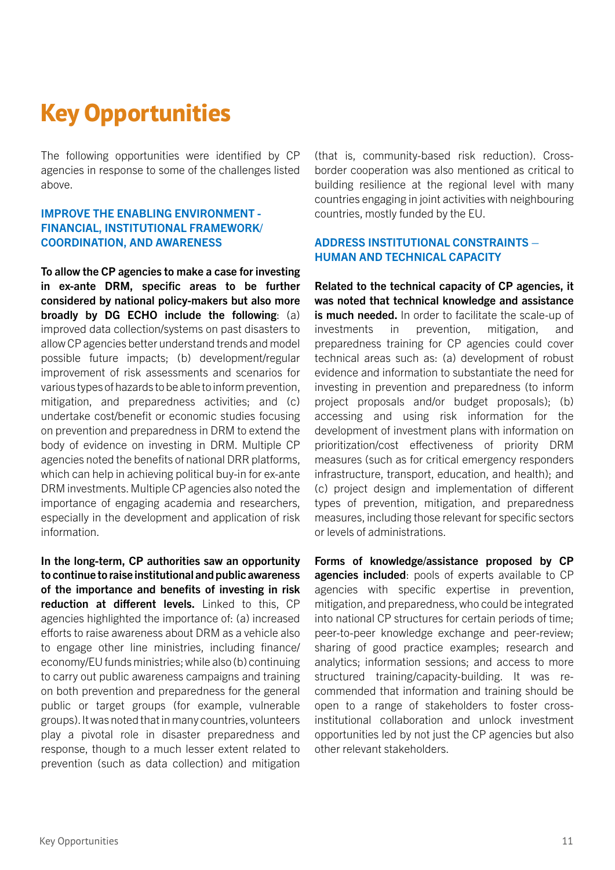## <span id="page-10-0"></span>**Key Opportunities**

The following opportunities were identified by CP agencies in response to some of the challenges listed above.

#### IMPROVE THE ENABLING ENVIRONMENT - FINANCIAL, INSTITUTIONAL FRAMEWORK/ COORDINATION, AND AWARENESS

To allow the CP agencies to make a case for investing in ex-ante DRM, specific areas to be further considered by national policy-makers but also more broadly by DG ECHO include the following: (a) improved data collection/systems on past disasters to allow CP agencies better understand trends and model possible future impacts; (b) development/regular improvement of risk assessments and scenarios for various types of hazards to be able to inform prevention, mitigation, and preparedness activities; and (c) undertake cost/benefit or economic studies focusing on prevention and preparedness in DRM to extend the body of evidence on investing in DRM. Multiple CP agencies noted the benefits of national DRR platforms, which can help in achieving political buy-in for ex-ante DRM investments. Multiple CP agencies also noted the importance of engaging academia and researchers, especially in the development and application of risk information.

In the long-term, CP authorities saw an opportunity to continue to raise institutional and public awareness of the importance and benefits of investing in risk reduction at different levels. Linked to this, CP agencies highlighted the importance of: (a) increased efforts to raise awareness about DRM as a vehicle also to engage other line ministries, including finance/ economy/EU funds ministries; while also (b) continuing to carry out public awareness campaigns and training on both prevention and preparedness for the general public or target groups (for example, vulnerable groups). It was noted that in many countries, volunteers play a pivotal role in disaster preparedness and response, though to a much lesser extent related to prevention (such as data collection) and mitigation

(that is, community-based risk reduction). Crossborder cooperation was also mentioned as critical to building resilience at the regional level with many countries engaging in joint activities with neighbouring countries, mostly funded by the EU.

#### ADDRESS INSTITUTIONAL CONSTRAINTS – HUMAN AND TECHNICAL CAPACITY

Related to the technical capacity of CP agencies, it was noted that technical knowledge and assistance is much needed. In order to facilitate the scale-up of investments in prevention, mitigation, and preparedness training for CP agencies could cover technical areas such as: (a) development of robust evidence and information to substantiate the need for investing in prevention and preparedness (to inform project proposals and/or budget proposals); (b) accessing and using risk information for the development of investment plans with information on prioritization/cost effectiveness of priority DRM measures (such as for critical emergency responders infrastructure, transport, education, and health); and (c) project design and implementation of different types of prevention, mitigation, and preparedness measures, including those relevant for specific sectors or levels of administrations.

Forms of knowledge/assistance proposed by CP agencies included: pools of experts available to CP agencies with specific expertise in prevention, mitigation, and preparedness, who could be integrated into national CP structures for certain periods of time; peer-to-peer knowledge exchange and peer-review; sharing of good practice examples; research and analytics; information sessions; and access to more structured training/capacity-building. It was recommended that information and training should be open to a range of stakeholders to foster crossinstitutional collaboration and unlock investment opportunities led by not just the CP agencies but also other relevant stakeholders.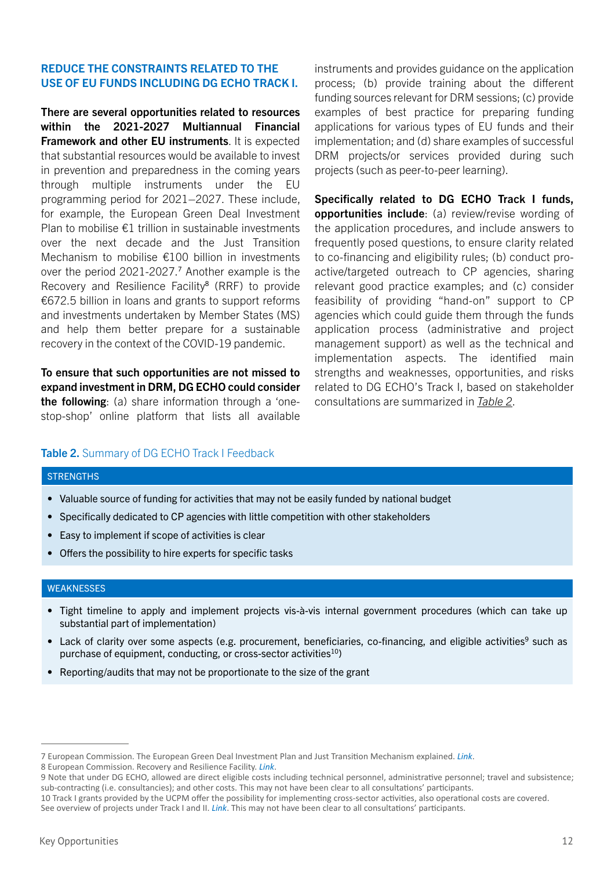#### REDUCE THE CONSTRAINTS RELATED TO THE USE OF EU FUNDS INCLUDING DG ECHO TRACK I.

There are several opportunities related to resources within the 2021-2027 Multiannual Financial Framework and other EU instruments. It is expected that substantial resources would be available to invest in prevention and preparedness in the coming years through multiple instruments under the EU programming period for 2021–2027. These include, for example, the European Green Deal Investment Plan to mobilise  $E1$  trillion in sustainable investments over the next decade and the Just Transition Mechanism to mobilise €100 billion in investments over the period 2021-2027.<sup>7</sup> Another example is the Recovery and Resilience Facility<sup>8</sup> (RRF) to provide €672.5 billion in loans and grants to support reforms and investments undertaken by Member States (MS) and help them better prepare for a sustainable recovery in the context of the COVID-19 pandemic.

To ensure that such opportunities are not missed to expand investment in DRM, DG ECHO could consider the following: (a) share information through a 'onestop-shop' online platform that lists all available

instruments and provides guidance on the application process; (b) provide training about the different funding sources relevant for DRM sessions; (c) provide examples of best practice for preparing funding applications for various types of EU funds and their implementation; and (d) share examples of successful DRM projects/or services provided during such projects (such as peer-to-peer learning).

Specifically related to DG ECHO Track I funds, opportunities include: (a) review/revise wording of the application procedures, and include answers to frequently posed questions, to ensure clarity related to co-financing and eligibility rules; (b) conduct proactive/targeted outreach to CP agencies, sharing relevant good practice examples; and (c) consider feasibility of providing "hand-on" support to CP agencies which could guide them through the funds application process (administrative and project management support) as well as the technical and implementation aspects. The identified main strengths and weaknesses, opportunities, and risks related to DG ECHO's Track I, based on stakeholder consultations are summarized in *[Table 2](#page-11-0)*.

#### <span id="page-11-0"></span>Table 2. Summary of DG ECHO Track I Feedback

#### **STRENGTHS**

- Valuable source of funding for activities that may not be easily funded by national budget
- Specifically dedicated to CP agencies with little competition with other stakeholders
- Easy to implement if scope of activities is clear
- Offers the possibility to hire experts for specific tasks

#### **WEAKNESSES**

- Tight timeline to apply and implement projects vis-à-vis internal government procedures (which can take up substantial part of implementation)
- Lack of clarity over some aspects (e.g. procurement, beneficiaries, co-financing, and eligible activities<sup>9</sup> such as purchase of equipment, conducting, or cross-sector activities $^{10}$ )
- Reporting/audits that may not be proportionate to the size of the grant

<sup>7</sup> European Commission. The European Green Deal Investment Plan and Just Transition Mechanism explained. *[Link](https://ec.europa.eu/commission/presscorner/detail/en/qanda_20_24)*.

<sup>8</sup> European Commission. Recovery and Resilience Facility. *[Link](https://ec.europa.eu/info/business-economy-euro/recovery-coronavirus/recovery-and-resilience-facility_en)*.

<sup>9</sup> Note that under DG ECHO, allowed are direct eligible costs including technical personnel, administrative personnel; travel and subsistence; sub-contracting (i.e. consultancies); and other costs. This may not have been clear to all consultations' participants.

<sup>10</sup> Track I grants provided by the UCPM offer the possibility for implementing cross-sector activities, also operational costs are covered.

See overview of projects under Track I and II. *[Link](https://ec.europa.eu/echo/search/site/2020?f%5B0%5D=im_field_year_2%3A2020)*. This may not have been clear to all consultations' participants.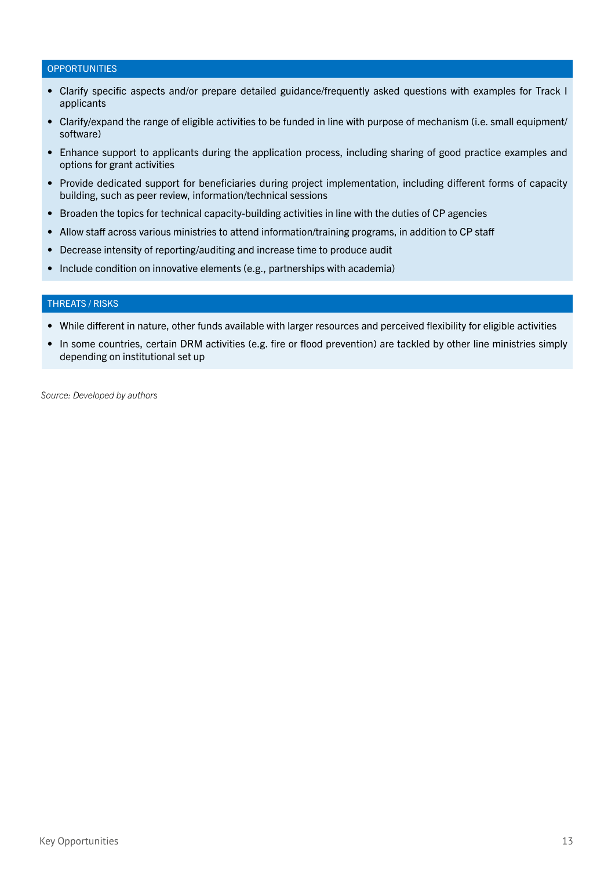#### <span id="page-12-0"></span>**OPPORTUNITIES**

- Clarify specific aspects and/or prepare detailed guidance/frequently asked questions with examples for Track I applicants
- Clarify/expand the range of eligible activities to be funded in line with purpose of mechanism (i.e. small equipment/ software)
- Enhance support to applicants during the application process, including sharing of good practice examples and options for grant activities
- Provide dedicated support for beneficiaries during project implementation, including different forms of capacity building, such as peer review, information/technical sessions
- Broaden the topics for technical capacity-building activities in line with the duties of CP agencies
- Allow staff across various ministries to attend information/training programs, in addition to CP staff
- Decrease intensity of reporting/auditing and increase time to produce audit
- Include condition on innovative elements (e.g., partnerships with academia)

#### THREATS / RISKS

- While different in nature, other funds available with larger resources and perceived flexibility for eligible activities
- In some countries, certain DRM activities (e.g. fire or flood prevention) are tackled by other line ministries simply depending on institutional set up

*Source: Developed by authors*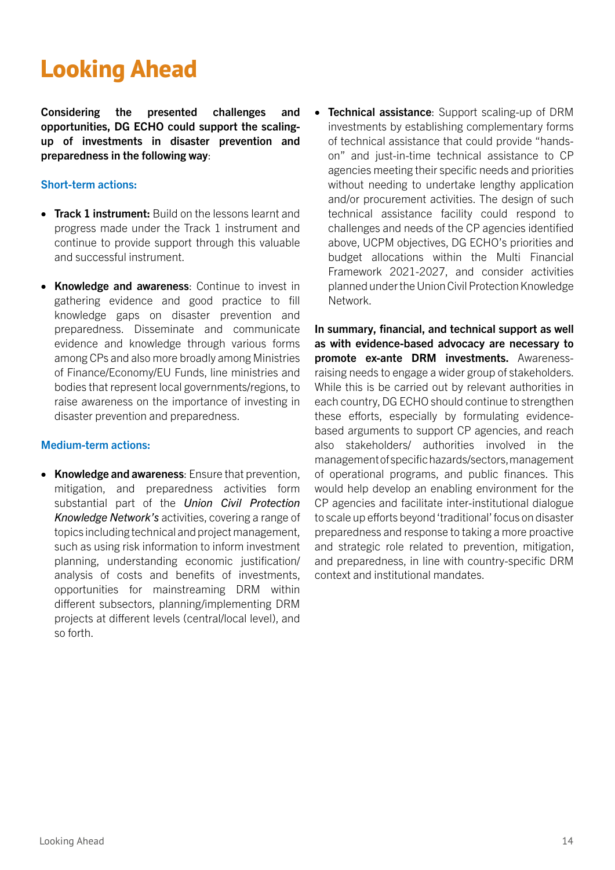## **Looking Ahead**

Considering the presented challenges and opportunities, DG ECHO could support the scalingup of investments in disaster prevention and preparedness in the following way:

#### Short-term actions:

- Track 1 instrument: Build on the lessons learnt and progress made under the Track 1 instrument and continue to provide support through this valuable and successful instrument.
- Knowledge and awareness: Continue to invest in gathering evidence and good practice to fill knowledge gaps on disaster prevention and preparedness. Disseminate and communicate evidence and knowledge through various forms among CPs and also more broadly among Ministries of Finance/Economy/EU Funds, line ministries and bodies that represent local governments/regions, to raise awareness on the importance of investing in disaster prevention and preparedness.

#### Medium-term actions:

• Knowledge and awareness: Ensure that prevention, mitigation, and preparedness activities form substantial part of the *Union Civil Protection Knowledge Network's* activities, covering a range of topics including technical and project management, such as using risk information to inform investment planning, understanding economic justification/ analysis of costs and benefits of investments, opportunities for mainstreaming DRM within different subsectors, planning/implementing DRM projects at different levels (central/local level), and so forth.

• Technical assistance: Support scaling-up of DRM investments by establishing complementary forms of technical assistance that could provide "handson" and just-in-time technical assistance to CP agencies meeting their specific needs and priorities without needing to undertake lengthy application and/or procurement activities. The design of such technical assistance facility could respond to challenges and needs of the CP agencies identified above, UCPM objectives, DG ECHO's priorities and budget allocations within the Multi Financial Framework 2021-2027, and consider activities planned under the Union Civil Protection Knowledge Network.

In summary, financial, and technical support as well as with evidence-based advocacy are necessary to promote ex-ante DRM investments. Awarenessraising needs to engage a wider group of stakeholders. While this is be carried out by relevant authorities in each country, DG ECHO should continue to strengthen these efforts, especially by formulating evidencebased arguments to support CP agencies, and reach also stakeholders/ authorities involved in the management of specific hazards/sectors, management of operational programs, and public finances. This would help develop an enabling environment for the CP agencies and facilitate inter-institutional dialogue to scale up efforts beyond 'traditional' focus on disaster preparedness and response to taking a more proactive and strategic role related to prevention, mitigation, and preparedness, in line with country-specific DRM context and institutional mandates.